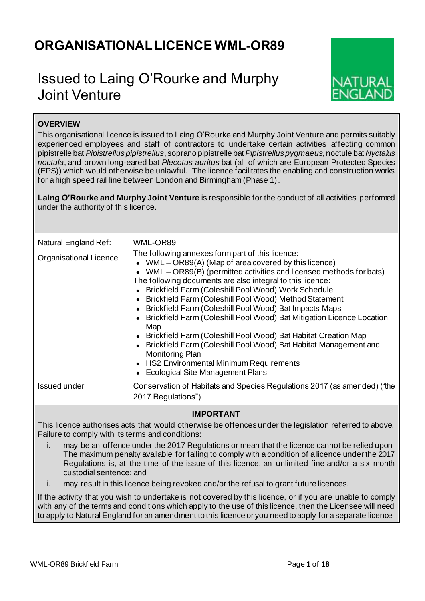# **ORGANISATIONAL LICENCE WML-OR89**

# Issued to Laing O'Rourke and Murphy Joint Venture



# **OVERVIEW**

This organisational licence is issued to Laing O'Rourke and Murphy Joint Venture and permits suitably experienced employees and staff of contractors to undertake certain activities affecting common pipistrelle bat *Pipistrellus pipistrellus*, soprano pipistrelle bat *Pipistrellus pygmaeus*, noctule bat *Nyctalus noctula*, and brown long-eared bat *Plecotus auritus* bat (all of which are European Protected Species (EPS)) which would otherwise be unlawful. The licence facilitates the enabling and construction works for a high speed rail line between London and Birmingham (Phase 1).

**Laing O'Rourke and Murphy Joint Venture** is responsible for the conduct of all activities performed under the authority of this licence.

| Natural England Ref:<br><b>Organisational Licence</b> | WML-OR89<br>The following annexes form part of this licence:<br>• WML – OR89(A) (Map of area covered by this licence)<br>• WML – OR89(B) (permitted activities and licensed methods for bats)<br>The following documents are also integral to this licence:<br>• Brickfield Farm (Coleshill Pool Wood) Work Schedule<br>• Brickfield Farm (Coleshill Pool Wood) Method Statement<br>• Brickfield Farm (Coleshill Pool Wood) Bat Impacts Maps<br>• Brickfield Farm (Coleshill Pool Wood) Bat Mitigation Licence Location<br>Map<br>• Brickfield Farm (Coleshill Pool Wood) Bat Habitat Creation Map<br>• Brickfield Farm (Coleshill Pool Wood) Bat Habitat Management and<br><b>Monitoring Plan</b><br>• HS2 Environmental Minimum Requirements<br>• Ecological Site Management Plans |
|-------------------------------------------------------|--------------------------------------------------------------------------------------------------------------------------------------------------------------------------------------------------------------------------------------------------------------------------------------------------------------------------------------------------------------------------------------------------------------------------------------------------------------------------------------------------------------------------------------------------------------------------------------------------------------------------------------------------------------------------------------------------------------------------------------------------------------------------------------|
| Issued under                                          | Conservation of Habitats and Species Regulations 2017 (as amended) ("the<br>2017 Regulations")                                                                                                                                                                                                                                                                                                                                                                                                                                                                                                                                                                                                                                                                                       |

## **IMPORTANT**

This licence authorises acts that would otherwise be offences under the legislation referred to above. Failure to comply with its terms and conditions:

- i. may be an offence under the 2017 Regulations or mean that the licence cannot be relied upon. The maximum penalty available for failing to comply with a condition of a licence under the 2017 Regulations is, at the time of the issue of this licence, an unlimited fine and/or a six month custodial sentence; and
- ii. may result in this licence being revoked and/or the refusal to grant future licences.

If the activity that you wish to undertake is not covered by this licence, or if you are unable to comply with any of the terms and conditions which apply to the use of this licence, then the Licensee will need to apply to Natural England for an amendment to this licence or you need to apply for a separate licence.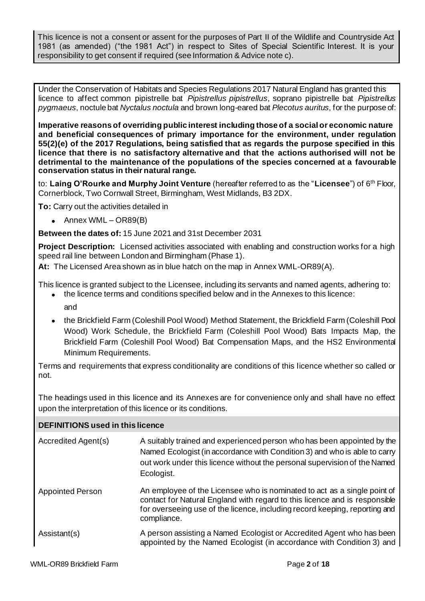This licence is not a consent or assent for the purposes of Part II of the Wildlife and Countryside Act 1981 (as amended) ("the 1981 Act") in respect to Sites of Special Scientific Interest. It is your responsibility to get consent if required (see Information & Advice note c).

Under the Conservation of Habitats and Species Regulations 2017 Natural England has granted this licence to affect common pipistrelle bat *Pipistrellus pipistrellus*, soprano pipistrelle bat *Pipistrellus pygmaeus*, noctule bat *Nyctalus noctula* and brown long-eared bat *Plecotus auritus*, for the purpose of:

**Imperative reasons of overriding public interest including those of a social or economic nature and beneficial consequences of primary importance for the environment, under regulation 55(2)(e) of the 2017 Regulations, being satisfied that as regards the purpose specified in this licence that there is no satisfactory alternative and that the actions authorised will not be detrimental to the maintenance of the populations of the species concerned at a favourable conservation status in their natural range.**

to: **Laing O'Rourke and Murphy Joint Venture** (hereafter referred to as the "**Licensee**") of 6 th Floor, Cornerblock, Two Cornwall Street, Birmingham, West Midlands, B3 2DX.

**To:** Carry out the activities detailed in

• Annex WML – OR89(B)

**Between the dates of:** 15 June 2021 and 31st December 2031

**Project Description:** Licensed activities associated with enabling and construction works for a high speed rail line between London and Birmingham (Phase 1).

**At:** The Licensed Area shown as in blue hatch on the map in Annex WML-OR89(A).

This licence is granted subject to the Licensee, including its servants and named agents, adhering to:

- the licence terms and conditions specified below and in the Annexes to this licence: and
- the Brickfield Farm (Coleshill Pool Wood) Method Statement, the Brickfield Farm (Coleshill Pool Wood) Work Schedule, the Brickfield Farm (Coleshill Pool Wood) Bats Impacts Map, the Brickfield Farm (Coleshill Pool Wood) Bat Compensation Maps, and the HS2 Environmental Minimum Requirements.

Terms and requirements that express conditionality are conditions of this licence whether so called or not.

The headings used in this licence and its Annexes are for convenience only and shall have no effect upon the interpretation of this licence or its conditions.

| <b>DEFINITIONS used in this licence</b> |                                                                                                                                                                                                                                                     |  |  |  |  |  |  |
|-----------------------------------------|-----------------------------------------------------------------------------------------------------------------------------------------------------------------------------------------------------------------------------------------------------|--|--|--|--|--|--|
| Accredited Agent(s)                     | A suitably trained and experienced person who has been appointed by the<br>Named Ecologist (in accordance with Condition 3) and who is able to carry<br>out work under this licence without the personal supervision of the Named<br>Ecologist.     |  |  |  |  |  |  |
| <b>Appointed Person</b>                 | An employee of the Licensee who is nominated to act as a single point of<br>contact for Natural England with regard to this licence and is responsible<br>for overseeing use of the licence, including record keeping, reporting and<br>compliance. |  |  |  |  |  |  |
| Assistant(s)                            | A person assisting a Named Ecologist or Accredited Agent who has been<br>appointed by the Named Ecologist (in accordance with Condition 3) and                                                                                                      |  |  |  |  |  |  |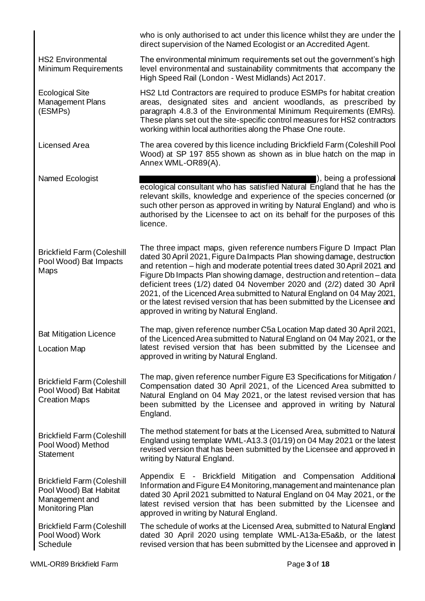|                                                                                                  | who is only authorised to act under this licence whilst they are under the<br>direct supervision of the Named Ecologist or an Accredited Agent.                                                                                                                                                                                                                                                                                                                                                                                                                                    |
|--------------------------------------------------------------------------------------------------|------------------------------------------------------------------------------------------------------------------------------------------------------------------------------------------------------------------------------------------------------------------------------------------------------------------------------------------------------------------------------------------------------------------------------------------------------------------------------------------------------------------------------------------------------------------------------------|
| <b>HS2 Environmental</b><br><b>Minimum Requirements</b>                                          | The environmental minimum requirements set out the government's high<br>level environmental and sustainability commitments that accompany the<br>High Speed Rail (London - West Midlands) Act 2017.                                                                                                                                                                                                                                                                                                                                                                                |
| <b>Ecological Site</b><br>Management Plans<br>(ESMPs)                                            | HS2 Ltd Contractors are required to produce ESMPs for habitat creation<br>areas, designated sites and ancient woodlands, as prescribed by<br>paragraph 4.8.3 of the Environmental Minimum Requirements (EMRs).<br>These plans set out the site-specific control measures for HS2 contractors<br>working within local authorities along the Phase One route.                                                                                                                                                                                                                        |
| Licensed Area                                                                                    | The area covered by this licence including Brickfield Farm (Coleshill Pool<br>Wood) at SP 197 855 shown as shown as in blue hatch on the map in<br>Annex WML-OR89(A).                                                                                                                                                                                                                                                                                                                                                                                                              |
| Named Ecologist                                                                                  | $\vert$ ), being a professional<br>ecological consultant who has satisfied Natural England that he has the<br>relevant skills, knowledge and experience of the species concerned (or<br>such other person as approved in writing by Natural England) and who is<br>authorised by the Licensee to act on its behalf for the purposes of this<br>licence.                                                                                                                                                                                                                            |
| <b>Brickfield Farm (Coleshill</b><br>Pool Wood) Bat Impacts<br>Maps                              | The three impact maps, given reference numbers Figure D Impact Plan<br>dated 30 April 2021, Figure Da Impacts Plan showing damage, destruction<br>and retention - high and moderate potential trees dated 30 April 2021 and<br>Figure Db Impacts Plan showing damage, destruction and retention - data<br>deficient trees (1/2) dated 04 November 2020 and (2/2) dated 30 April<br>2021, of the Licenced Area submitted to Natural England on 04 May 2021,<br>or the latest revised version that has been submitted by the Licensee and<br>approved in writing by Natural England. |
| <b>Bat Mitigation Licence</b><br><b>Location Map</b>                                             | The map, given reference number C5a Location Map dated 30 April 2021,<br>of the Licenced Area submitted to Natural England on 04 May 2021, or the<br>latest revised version that has been submitted by the Licensee and<br>approved in writing by Natural England.                                                                                                                                                                                                                                                                                                                 |
| <b>Brickfield Farm (Coleshill</b><br>Pool Wood) Bat Habitat<br><b>Creation Maps</b>              | The map, given reference number Figure E3 Specifications for Mitigation /<br>Compensation dated 30 April 2021, of the Licenced Area submitted to<br>Natural England on 04 May 2021, or the latest revised version that has<br>been submitted by the Licensee and approved in writing by Natural<br>England.                                                                                                                                                                                                                                                                        |
| <b>Brickfield Farm (Coleshill</b><br>Pool Wood) Method<br><b>Statement</b>                       | The method statement for bats at the Licensed Area, submitted to Natural<br>England using template WML-A13.3 (01/19) on 04 May 2021 or the latest<br>revised version that has been submitted by the Licensee and approved in<br>writing by Natural England.                                                                                                                                                                                                                                                                                                                        |
| <b>Brickfield Farm (Coleshill</b><br>Pool Wood) Bat Habitat<br>Management and<br>Monitoring Plan | Appendix E - Brickfield Mitigation and Compensation Additional<br>Information and Figure E4 Monitoring, management and maintenance plan<br>dated 30 April 2021 submitted to Natural England on 04 May 2021, or the<br>latest revised version that has been submitted by the Licensee and<br>approved in writing by Natural England.                                                                                                                                                                                                                                                |
| <b>Brickfield Farm (Coleshill</b><br>Pool Wood) Work<br>Schedule                                 | The schedule of works at the Licensed Area, submitted to Natural England<br>dated 30 April 2020 using template WML-A13a-E5a&b, or the latest<br>revised version that has been submitted by the Licensee and approved in                                                                                                                                                                                                                                                                                                                                                            |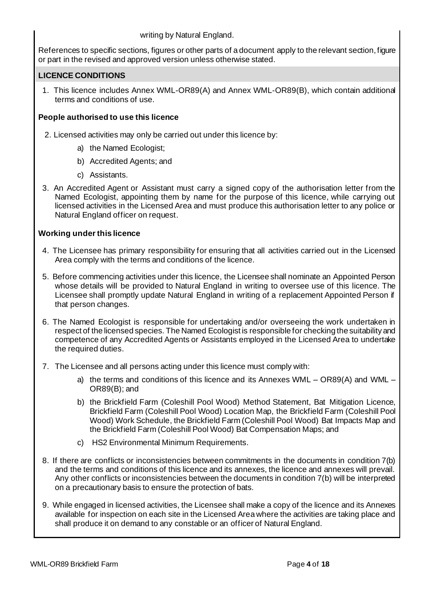writing by Natural England.

References to specific sections, figures or other parts of a document apply to the relevant section, figure or part in the revised and approved version unless otherwise stated.

## **LICENCE CONDITIONS**

1. This licence includes Annex WML-OR89(A) and Annex WML-OR89(B), which contain additional terms and conditions of use.

# **People authorised to use this licence**

- 2. Licensed activities may only be carried out under this licence by:
	- a) the Named Ecologist;
	- b) Accredited Agents; and
	- c) Assistants.
- 3. An Accredited Agent or Assistant must carry a signed copy of the authorisation letter from the Named Ecologist, appointing them by name for the purpose of this licence, while carrying out licensed activities in the Licensed Area and must produce this authorisation letter to any police or Natural England officer on request.

# **Working under this licence**

- 4. The Licensee has primary responsibility for ensuring that all activities carried out in the Licensed Area comply with the terms and conditions of the licence.
- 5. Before commencing activities under this licence, the Licensee shall nominate an Appointed Person whose details will be provided to Natural England in writing to oversee use of this licence. The Licensee shall promptly update Natural England in writing of a replacement Appointed Person if that person changes.
- 6. The Named Ecologist is responsible for undertaking and/or overseeing the work undertaken in respect of the licensed species. The Named Ecologist is responsible for checking the suitability and competence of any Accredited Agents or Assistants employed in the Licensed Area to undertake the required duties.
- 7. The Licensee and all persons acting under this licence must comply with:
	- a) the terms and conditions of this licence and its Annexes WML OR89(A) and WML OR89(B); and
	- b) the Brickfield Farm (Coleshill Pool Wood) Method Statement, Bat Mitigation Licence, Brickfield Farm (Coleshill Pool Wood) Location Map, the Brickfield Farm (Coleshill Pool Wood) Work Schedule, the Brickfield Farm (Coleshill Pool Wood) Bat Impacts Map and the Brickfield Farm (Coleshill Pool Wood) Bat Compensation Maps; and
	- c) HS2 Environmental Minimum Requirements.
- 8. If there are conflicts or inconsistencies between commitments in the documents in condition 7(b) and the terms and conditions of this licence and its annexes, the licence and annexes will prevail. Any other conflicts or inconsistencies between the documents in condition 7(b) will be interpreted on a precautionary basis to ensure the protection of bats.
- 9. While engaged in licensed activities, the Licensee shall make a copy of the licence and its Annexes available for inspection on each site in the Licensed Area where the activities are taking place and shall produce it on demand to any constable or an officer of Natural England.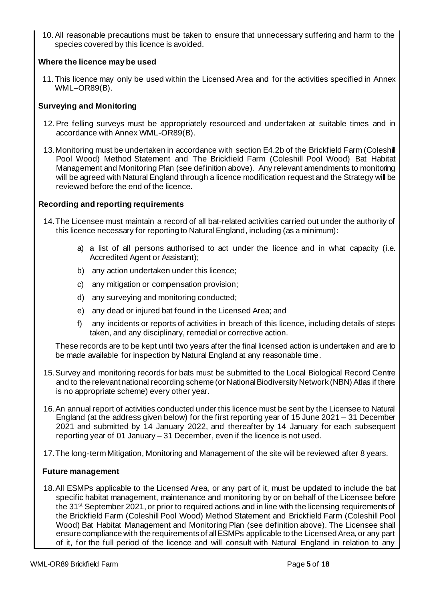10.All reasonable precautions must be taken to ensure that unnecessary suffering and harm to the species covered by this licence is avoided.

# **Where the licence may be used**

11. This licence may only be used within the Licensed Area and for the activities specified in Annex WML–OR89(B).

# **Surveying and Monitoring**

- 12.Pre felling surveys must be appropriately resourced and undertaken at suitable times and in accordance with Annex WML-OR89(B).
- 13.Monitoring must be undertaken in accordance with section E4.2b of the Brickfield Farm (Coleshill Pool Wood) Method Statement and The Brickfield Farm (Coleshill Pool Wood) Bat Habitat Management and Monitoring Plan (see definition above). Any relevant amendments to monitoring will be agreed with Natural England through a licence modification request and the Strategy will be reviewed before the end of the licence.

# **Recording and reporting requirements**

- 14.The Licensee must maintain a record of all bat-related activities carried out under the authority of this licence necessary for reporting to Natural England, including (as a minimum):
	- a) a list of all persons authorised to act under the licence and in what capacity (i.e. Accredited Agent or Assistant);
	- b) any action undertaken under this licence;
	- c) any mitigation or compensation provision;
	- d) any surveying and monitoring conducted;
	- e) any dead or injured bat found in the Licensed Area; and
	- f) any incidents or reports of activities in breach of this licence, including details of steps taken, and any disciplinary, remedial or corrective action.

These records are to be kept until two years after the final licensed action is undertaken and are to be made available for inspection by Natural England at any reasonable time.

- 15.Survey and monitoring records for bats must be submitted to the Local Biological Record Centre and to the relevant national recording scheme (or National Biodiversity Network (NBN) Atlas if there is no appropriate scheme) every other year.
- 16.An annual report of activities conducted under this licence must be sent by the Licensee to Natural England (at the address given below) for the first reporting year of 15 June 2021 – 31 December 2021 and submitted by 14 January 2022, and thereafter by 14 January for each subsequent reporting year of 01 January – 31 December, even if the licence is not used.
- 17.The long-term Mitigation, Monitoring and Management of the site will be reviewed after 8 years.

# **Future management**

18.All ESMPs applicable to the Licensed Area, or any part of it, must be updated to include the bat specific habitat management, maintenance and monitoring by or on behalf of the Licensee before the 31<sup>st</sup> September 2021, or prior to required actions and in line with the licensing requirements of the Brickfield Farm (Coleshill Pool Wood) Method Statement and Brickfield Farm (Coleshill Pool Wood) Bat Habitat Management and Monitoring Plan (see definition above). The Licensee shall ensure compliance with the requirements of all ESMPs applicable to the Licensed Area, or any part of it, for the full period of the licence and will consult with Natural England in relation to any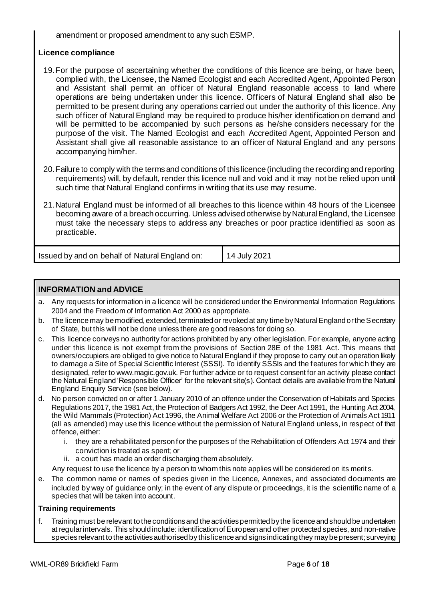amendment or proposed amendment to any such ESMP.

# **Licence compliance**

- 19.For the purpose of ascertaining whether the conditions of this licence are being, or have been, complied with, the Licensee, the Named Ecologist and each Accredited Agent, Appointed Person and Assistant shall permit an officer of Natural England reasonable access to land where operations are being undertaken under this licence. Officers of Natural England shall also be permitted to be present during any operations carried out under the authority of this licence. Any such officer of Natural England may be required to produce his/her identification on demand and will be permitted to be accompanied by such persons as he/she considers necessary for the purpose of the visit. The Named Ecologist and each Accredited Agent, Appointed Person and Assistant shall give all reasonable assistance to an officer of Natural England and any persons accompanying him/her.
- 20.Failure to comply with the terms and conditions of this licence (including the recording and reporting requirements) will, by default, render this licence null and void and it may not be relied upon until such time that Natural England confirms in writing that its use may resume.
- 21.Natural England must be informed of all breaches to this licence within 48 hours of the Licensee becoming aware of a breach occurring. Unless advised otherwise by Natural England, the Licensee must take the necessary steps to address any breaches or poor practice identified as soon as practicable.

| Issued by and on behalf of Natural England on: | 14 July 2021 |
|------------------------------------------------|--------------|

# **INFORMATION and ADVICE**

- a. Any requests for information in a licence will be considered under the Environmental Information Regulations 2004 and the Freedom of Information Act 2000 as appropriate.
- b. The licence may be modified, extended, terminated or revoked at any time by Natural England or the Secretary of State, but this will not be done unless there are good reasons for doing so.
- c. This licence conveys no authority for actions prohibited by any other legislation. For example, anyone acting under this licence is not exempt from the provisions of Section 28E of the 1981 Act. This means that owners/occupiers are obliged to give notice to Natural England if they propose to carry out an operation likely to damage a Site of Special Scientific Interest (SSSI). To identify SSSIs and the features for which they are designated, refer to www.magic.gov.uk. For further advice or to request consent for an activity please contact the Natural England 'Responsible Officer' for the relevant site(s). Contact details are available from the Natural England Enquiry Service (see below).
- d. No person convicted on or after 1 January 2010 of an offence under the Conservation of Habitats and Species Regulations 2017, the 1981 Act, the Protection of Badgers Act 1992, the Deer Act 1991, the Hunting Act 2004, the Wild Mammals (Protection) Act 1996, the Animal Welfare Act 2006 or the Protection of Animals Act 1911 (all as amended) may use this licence without the permission of Natural England unless, in respect of that offence, either:
	- i. they are a rehabilitated person for the purposes of the Rehabilitation of Offenders Act 1974 and their conviction is treated as spent; or
	- ii. a court has made an order discharging them absolutely.

Any request to use the licence by a person to whom this note applies will be considered on its merits.

e. The common name or names of species given in the Licence, Annexes, and associated documents are included by way of guidance only; in the event of any dispute or proceedings, it is the scientific name of a species that will be taken into account.

### **Training requirements**

f. Training must be relevant to the conditions and the activities permitted by the licence and should be undertaken at regular intervals. This should include: identification of European and other protected species, and non-native species relevant to the activities authorised by this licence and signs indicating they may be present; surveying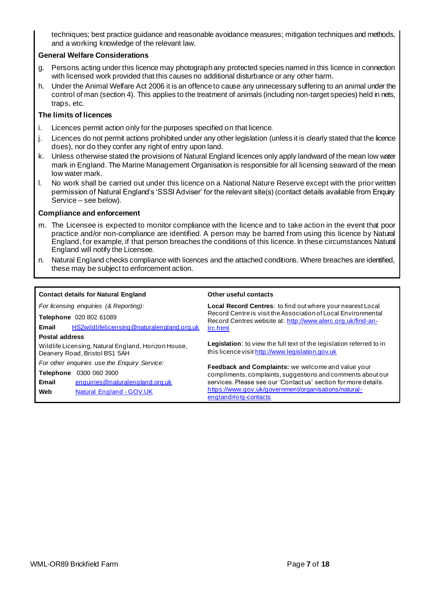techniques; best practice guidance and reasonable avoidance measures; mitigation techniques and methods, and a working knowledge of the relevant law.

### **General Welfare Considerations**

- g. Persons acting under this licence may photograph any protected species named in this licence in connection with licensed work provided that this causes no additional disturbance or any other harm.
- h. Under the Animal Welfare Act 2006 it is an offence to cause any unnecessary suffering to an animal under the control of man (section 4). This applies to the treatment of animals (including non-target species) held in nets, traps, etc.

### **The limits of licences**

- i. Licences permit action only for the purposes specified on that licence.
- j. Licences do not permit actions prohibited under any other legislation (unless it is clearly stated that the licence does), nor do they confer any right of entry upon land.
- k. Unless otherwise stated the provisions of Natural England licences only apply landward of the mean low water mark in England. The Marine Management Organisation is responsible for all licensing seaward of the mean low water mark.
- l. No work shall be carried out under this licence on a National Nature Reserve except with the prior written permission of Natural England's 'SSSI Adviser' for the relevant site(s) (contact details available from Enquiry Service – see below).

#### **Compliance and enforcement**

- m. The Licensee is expected to monitor compliance with the licence and to take action in the event that poor practice and/or non-compliance are identified. A person may be barred from using this licence by Natural England, for example, if that person breaches the conditions of this licence. In these circumstances Natural England will notify the Licensee.
- n. Natural England checks compliance with licences and the attached conditions. Where breaches are identified, these may be subject to enforcement action.

#### **Contact details for Natural England Other useful contacts**

*For licensing enquiries (& Reporting):* **Telephone** 020 802 61089 **Email** HS2wildlifelicensing@naturalengland.org.uk **Postal address** Wildlife Licensing, Natural England, Horizon House, Deanery Road, Bristol BS1 5AH *For other enquiries use the Enquiry Service:* **Telephone** 0300 060 3900 **Email** enquiries@naturalengland.org.uk **Web** Natural England - GOV.UK **Local Record Centres**: to find out where your nearest Local Record Centre is visit the Association of Local Environmental Record Centres website at: http://www.alerc.org.uk/find-anlrc.html **Legislation**: to view the full text of the legislation referred to in this licence visit http://www.legislation.gov.uk **Feedback and Complaints:** we welcome and value your compliments, complaints, suggestions and comments about our services. Please see our 'Contact us' section for more details. https://www.gov.uk/government/organisations/naturalengland#org-contacts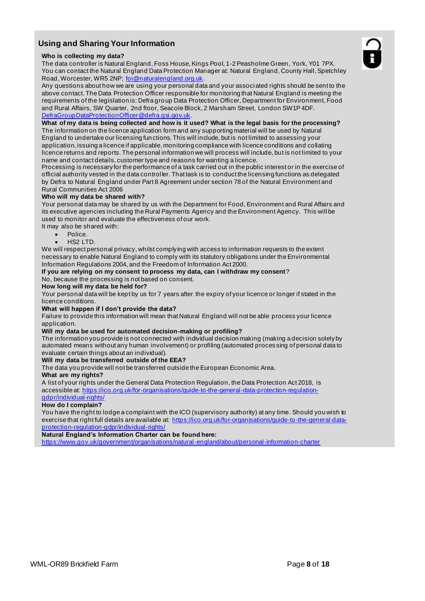# **Using and Sharing Your Information**

#### **Who is collecting my data?**

The data controller is Natural England, Foss House, Kings Pool, 1-2 Peasholme Green, York, Y01 7PX. You can contact the Natural England Data Protection Manager at: Natural England, County Hall, Spetchley Road, Worcester, WR5 2NP; foi@naturalengland.org.uk.

Any questions about how we are using your personal data and your associ ated rights should be sent to the above contact. The Data Protection Officer responsible for monitoring that Natural England is meeting the requirements of the legislation is: Defra group Data Protection Officer, Department for Environment, Food and Rural Affairs, SW Quarter, 2nd floor, Seacole Block, 2 Marsham Street, London SW1P 4DF. DefraGroupDataProtectionOfficer@defra.gsi.gov.uk.

### **What of my data is being collected and how is it used? What is the legal basis for the processing?**

The information on the licence application form and any supporting material will be used by Natural England to undertake our licensing functions. This will include, but is not limited to assessing your application, issuing a licence if applicable, monitoring compliance with licence conditions and collating licence returns and reports. The personal information we will process will include, but is not limited to your name and contact details, customer type and reasons for wanting a licence.

Processing is necessary for the performance of a task carried out in the public interest or in the exercise of official authority vested in the data controller. That task is to conduct the licensing functions as delegated by Defra to Natural England under Part 8 Agreement under section 78 of the Natural Environment and Rural Communities Act 2006

#### **Who will my data be shared with?**

Your personal data may be shared by us with the Department for Food, Environment and Rural Affairs and its executive agencies including the Rural Payments Agency and the Environment Agency. This will be used to monitor and evaluate the effectiveness of our work.

- It may also be shared with:
	- Police.
	- $HS2$  LTD.

We will respect personal privacy, whilst complying with access to information requests to the extent necessary to enable Natural England to comply with its statutory obligations under the Environmental Information Regulations 2004, and the Freedom of Information Act 2000.

#### **If you are relying on my consent to process my data, can I withdraw my consent**?

No, because the processing is not based on consent.

#### **How long will my data be held for?**

Your personal data will be kept by us for 7 years after the expiry of your licence or longer if stated in the licence conditions.

#### **What will happen if I don't provide the data?**

Failure to provide this information will mean that Natural England will not be able process your licence application.

#### **Will my data be used for automated decision-making or profiling?**

The information you provide is not connected with individual decision making (making a decision solely by automated means without any human involvement) or profiling (automated proces sing of personal data to evaluate certain things about an individual).

#### **Will my data be transferred outside of the EEA?**

The data you provide will not be transferred outside the European Economic Area.

#### **What are my rights?**

A list of your rights under the General Data Protection Regulation, the Data Protection Act 2018, is accessible at: https://ico.org.uk/for-organisations/guide-to-the-general-data-protection-regulationgdpr/individual-rights/

#### **How do I complain?**

You have the right to lodge a complaint with the ICO (supervisory authority) at any time. Should you wish to exercise that right full details are available at: https://ico.org.uk/for-organisations/guide-to-the-general-dataprotection-regulation-gdpr/individual-rights/

#### **Natural England's Information Charter can be found here:**

https://www.gov.uk/government/organisations/natural-england/about/personal-information-charter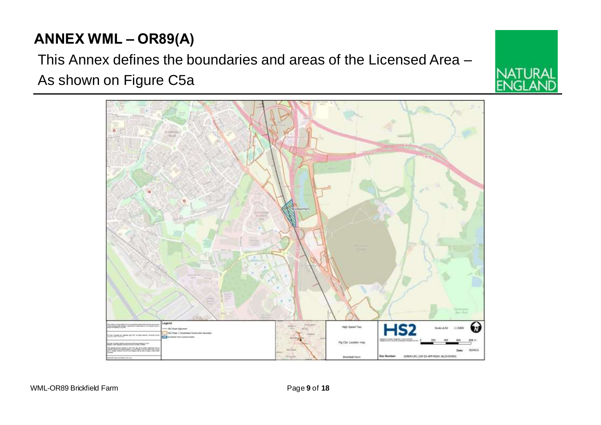# **ANNEX WML – OR89(A)**

This Annex defines the boundaries and areas of the Licensed Area – As shown on Figure C5a

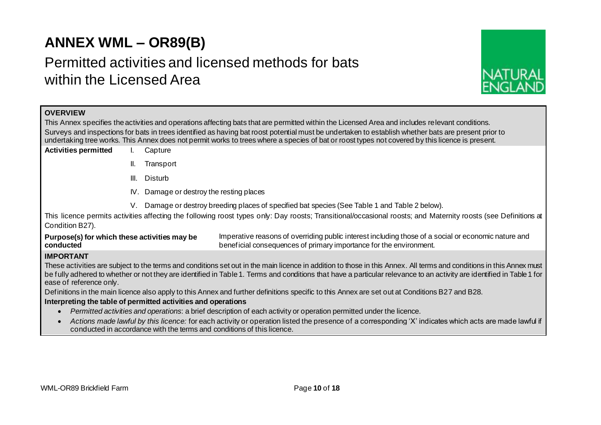# **ANNEX WML – OR89(B)**

# Permitted activities and licensed methods for bats within the Licensed Area



# **OVERVIEW**

This Annex specifies the activities and operations affecting bats that are permitted within the Licensed Area and includes relevant conditions. Surveys and inspections for bats in trees identified as having bat roost potential must be undertaken to establish whether bats are present prior to undertaking tree works. This Annex does not permit works to trees where a species of bat or roost types not covered by this licence is present.

- **Activities permitted** I. Capture
	- II. Transport
	- III. Disturb
	- IV. Damage or destroy the resting places
	- V. Damage or destroy breeding places of specified bat species (See Table 1 and Table 2 below).

This licence permits activities affecting the following roost types only: Day roosts; Transitional/occasional roosts; and Maternity roosts (see Definitions at Condition B27).

**Purpose(s) for which these activities may be conducted** Imperative reasons of overriding public interest including those of a social or economic nature and beneficial consequences of primary importance for the environment.

## **IMPORTANT**

These activities are subject to the terms and conditions set out in the main licence in addition to those in this Annex. All terms and conditions in this Annex must be fully adhered to whether or not they are identified in Table 1. Terms and conditions that have a particular relevance to an activity are identified in Table 1 for ease of reference only.

Definitions in the main licence also apply to this Annex and further definitions specific to this Annex are set out at Conditions B27 and B28.

## **Interpreting the table of permitted activities and operations**

- *Permitted activities and operations*: a brief description of each activity or operation permitted under the licence.
- *Actions made lawful by this licence:* for each activity or operation listed the presence of a corresponding 'X' indicates which acts are made lawful if conducted in accordance with the terms and conditions of this licence.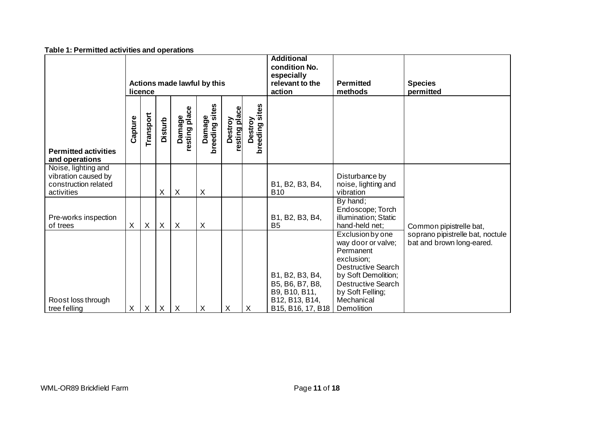| <u>rable 1. Fermitted activities and operations</u>                              |                                        |                           |                |                           |                          |                          |                           |                                                                                            |                                                                                                                                                                                                    |                                                               |
|----------------------------------------------------------------------------------|----------------------------------------|---------------------------|----------------|---------------------------|--------------------------|--------------------------|---------------------------|--------------------------------------------------------------------------------------------|----------------------------------------------------------------------------------------------------------------------------------------------------------------------------------------------------|---------------------------------------------------------------|
|                                                                                  | Actions made lawful by this<br>licence |                           |                |                           |                          |                          |                           | <b>Additional</b><br>condition No.<br>especially<br>relevant to the<br>action              | <b>Permitted</b><br>methods                                                                                                                                                                        | <b>Species</b><br>permitted                                   |
| <b>Permitted activities</b><br>and operations                                    | Capture                                | Transport                 | <b>Disturb</b> | Damage<br>resting place   | Damage<br>breeding sites | resting place<br>Destroy | breeding sites<br>Destroy |                                                                                            |                                                                                                                                                                                                    |                                                               |
| Noise, lighting and<br>vibration caused by<br>construction related<br>activities |                                        |                           | X              | $\boldsymbol{\mathsf{X}}$ | X                        |                          |                           | B1, B2, B3, B4,<br><b>B10</b>                                                              | Disturbance by<br>noise, lighting and<br>vibration                                                                                                                                                 |                                                               |
| Pre-works inspection<br>of trees                                                 | X                                      | X                         | X              | $\boldsymbol{X}$          | X                        |                          |                           | B1, B2, B3, B4,<br>B <sub>5</sub>                                                          | By hand;<br>Endoscope; Torch<br>illumination; Static<br>hand-held net;                                                                                                                             | Common pipistrelle bat,                                       |
| Roost loss through<br>tree felling                                               | X                                      | $\boldsymbol{\mathsf{X}}$ | X              | $\mathsf{X}$              | Χ                        | X                        | $\boldsymbol{\mathsf{X}}$ | B1, B2, B3, B4,<br>B5, B6, B7, B8,<br>B9, B10, B11,<br>B12, B13, B14,<br>B15, B16, 17, B18 | Exclusion by one<br>way door or valve;<br>Permanent<br>exclusion;<br><b>Destructive Search</b><br>by Soft Demolition;<br><b>Destructive Search</b><br>by Soft Felling;<br>Mechanical<br>Demolition | soprano pipistrelle bat, noctule<br>bat and brown long-eared. |

#### **Table 1: Permitted activities and operations**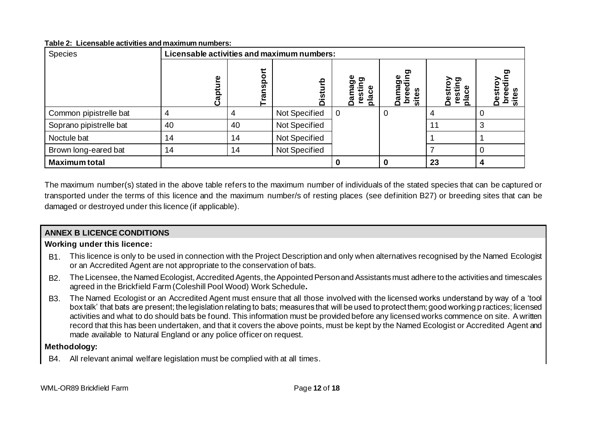### **Table 2: Licensable activities and maximum numbers:**

| <b>Species</b>          | Licensable activities and maximum numbers: |               |               |                                                 |                                             |                                                                                         |   |
|-------------------------|--------------------------------------------|---------------|---------------|-------------------------------------------------|---------------------------------------------|-----------------------------------------------------------------------------------------|---|
|                         | စ္<br>ھ<br>ت                               | ransport<br>- | 욘<br>Ò٥       | ත<br>ರಾ<br>ξij<br>Ê<br><u>ಠ</u><br>នី<br>ω<br>C | ge<br>ding<br>ខ្ព<br>ē<br>ဖိ<br>ᢐ<br>흐<br>w | <b>ာ</b><br>$\overline{\overline{\overline{\overline{5}}}}$<br>lace<br>ᢆ<br>ω<br>≏<br>o | ω |
| Common pipistrelle bat  |                                            |               | Not Specified | 0                                               | U                                           |                                                                                         |   |
| Soprano pipistrelle bat | 40                                         | 40            | Not Specified |                                                 |                                             | 11                                                                                      |   |
| Noctule bat             | 14                                         | 14            | Not Specified |                                                 |                                             |                                                                                         |   |
| Brown long-eared bat    | 14                                         | 14            | Not Specified |                                                 |                                             |                                                                                         |   |
| <b>Maximum total</b>    |                                            |               |               |                                                 |                                             | 23                                                                                      |   |

The maximum number(s) stated in the above table refers to the maximum number of individuals of the stated species that can be captured or transported under the terms of this licence and the maximum number/s of resting places (see definition B27) or breeding sites that can be damaged or destroyed under this licence (if applicable).

# **ANNEX B LICENCE CONDITIONS**

## **Working under this licence:**

- B1. This licence is only to be used in connection with the Project Description and only when alternatives recognised by the Named Ecologist or an Accredited Agent are not appropriate to the conservation of bats.
- B2. The Licensee, the Named Ecologist, Accredited Agents, the Appointed Person and Assistants must adhere to the activities and timescales agreed in the Brickfield Farm (Coleshill Pool Wood) Work Schedule**.**
- B3. The Named Ecologist or an Accredited Agent must ensure that all those involved with the licensed works understand by way of a 'tool box talk' that bats are present; the legislation relating to bats; measures that will be used to protect them; good working practices; licensed activities and what to do should bats be found. This information must be provided before any licensed works commence on site. A written record that this has been undertaken, and that it covers the above points, must be kept by the Named Ecologist or Accredited Agent and made available to Natural England or any police officer on request.

## **Methodology:**

B4. All relevant animal welfare legislation must be complied with at all times.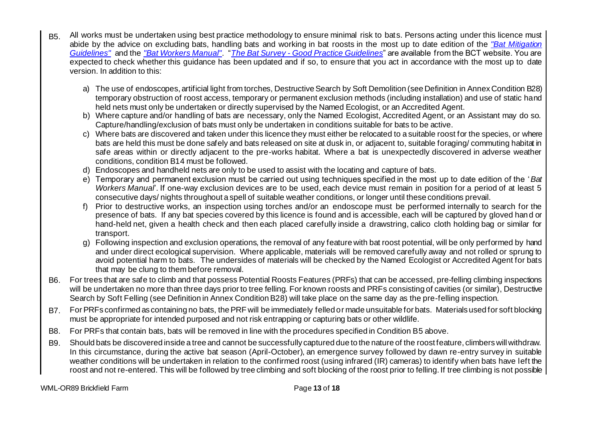- B5. All works must be undertaken using best practice methodology to ensure minimal risk to bats. Persons acting under this licence must abide by the advice on excluding bats, handling bats and working in bat roosts in the most up to date edition of the *"Bat Mitigation Guidelines"* and the *"Bat Workers Manual"*. "*The Bat Survey - Good Practice Guidelines*" are available from the BCT website. You are expected to check whether this guidance has been updated and if so, to ensure that you act in accordance with the most up to date version. In addition to this:
	- a) The use of endoscopes, artificial light from torches, Destructive Search by Soft Demolition (see Definition in Annex Condition B28) temporary obstruction of roost access, temporary or permanent exclusion methods (including installation) and use of static hand held nets must only be undertaken or directly supervised by the Named Ecologist, or an Accredited Agent.
	- b) Where capture and/or handling of bats are necessary, only the Named Ecologist, Accredited Agent, or an Assistant may do so. Capture/handling/exclusion of bats must only be undertaken in conditions suitable for bats to be active.
	- c) Where bats are discovered and taken under this licence they must either be relocated to a suitable roost for the species, or where bats are held this must be done safely and bats released on site at dusk in, or adjacent to, suitable foraging/ commuting habitat in safe areas within or directly adjacent to the pre-works habitat. Where a bat is unexpectedly discovered in adverse weather conditions, condition B14 must be followed.
	- d) Endoscopes and handheld nets are only to be used to assist with the locating and capture of bats.
	- e) Temporary and permanent exclusion must be carried out using techniques specified in the most up to date edition of the '*Bat Workers Manual*'. If one-way exclusion devices are to be used, each device must remain in position for a period of at least 5 consecutive days/ nights throughout a spell of suitable weather conditions, or longer until these conditions prevail.
	- f) Prior to destructive works, an inspection using torches and/or an endoscope must be performed internally to search for the presence of bats. If any bat species covered by this licence is found and is accessible, each will be captured by gloved hand or hand-held net, given a health check and then each placed carefully inside a drawstring, calico cloth holding bag or similar for transport.
	- g) Following inspection and exclusion operations, the removal of any feature with bat roost potential, will be only performed by hand and under direct ecological supervision. Where applicable, materials will be removed carefully away and not rolled or sprung to avoid potential harm to bats. The undersides of materials will be checked by the Named Ecologist or Accredited Agent for bats that may be clung to them before removal.
- B6. For trees that are safe to climb and that possess Potential Roosts Features (PRFs) that can be accessed, pre-felling climbing inspections will be undertaken no more than three days prior to tree felling. For known roosts and PRFs consisting of cavities (or similar), Destructive Search by Soft Felling (see Definition in Annex Condition B28) will take place on the same day as the pre-felling inspection.
- B7. For PRFs confirmed as containing no bats, the PRF will be immediately felled or made unsuitable for bats. Materials used for soft blocking must be appropriate for intended purposed and not risk entrapping or capturing bats or other wildlife.
- B8. For PRFs that contain bats, bats will be removed in line with the procedures specified in Condition B5 above.
- B9. Should bats be discovered inside a tree and cannot be successfully captured due to the nature of the roost feature, climbers will withdraw. In this circumstance, during the active bat season (April-October), an emergence survey followed by dawn re-entry survey in suitable weather conditions will be undertaken in relation to the confirmed roost (using infrared (IR) cameras) to identify when bats have left the roost and not re-entered. This will be followed by tree climbing and soft blocking of the roost prior to felling. If tree climbing is not possible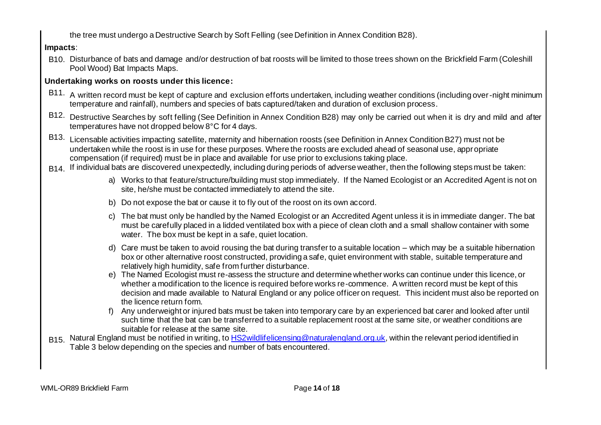the tree must undergo a Destructive Search by Soft Felling (see Definition in Annex Condition B28).

**Impacts**:

B10. Disturbance of bats and damage and/or destruction of bat roosts will be limited to those trees shown on the Brickfield Farm (Coleshill Pool Wood) Bat Impacts Maps.

# **Undertaking works on roosts under this licence:**

- B11. A written record must be kept of capture and exclusion efforts undertaken, including weather conditions (including over-night minimum temperature and rainfall), numbers and species of bats captured/taken and duration of exclusion process.
- B12. Destructive Searches by soft felling (See Definition in Annex Condition B28) may only be carried out when it is dry and mild and after temperatures have not dropped below 8°C for 4 days.
- B13. Licensable activities impacting satellite, maternity and hibernation roosts (see Definition in Annex Condition B27) must not be undertaken while the roost is in use for these purposes. Where the roosts are excluded ahead of seasonal use, appropriate compensation (if required) must be in place and available for use prior to exclusions taking place.
- B14. If individual bats are discovered unexpectedly, including during periods of adverse weather, then the following steps must be taken:
	- a) Works to that feature/structure/building must stop immediately. If the Named Ecologist or an Accredited Agent is not on site, he/she must be contacted immediately to attend the site.
	- b) Do not expose the bat or cause it to fly out of the roost on its own accord.
	- c) The bat must only be handled by the Named Ecologist or an Accredited Agent unless it is in immediate danger. The bat must be carefully placed in a lidded ventilated box with a piece of clean cloth and a small shallow container with some water. The box must be kept in a safe, quiet location.
	- d) Care must be taken to avoid rousing the bat during transfer to a suitable location which may be a suitable hibernation box or other alternative roost constructed, providing a safe, quiet environment with stable, suitable temperature and relatively high humidity, safe from further disturbance.
	- e) The Named Ecologist must re-assess the structure and determine whether works can continue under this licence, or whether a modification to the licence is required before works re-commence. A written record must be kept of this decision and made available to Natural England or any police officer on request. This incident must also be reported on the licence return form.
	- f) Any underweight or injured bats must be taken into temporary care by an experienced bat carer and looked after until such time that the bat can be transferred to a suitable replacement roost at the same site, or weather conditions are suitable for release at the same site.
- B15. Natural England must be notified in writing, to HS2wildlifelicensing@naturalengland.org.uk, within the relevant period identified in Table 3 below depending on the species and number of bats encountered.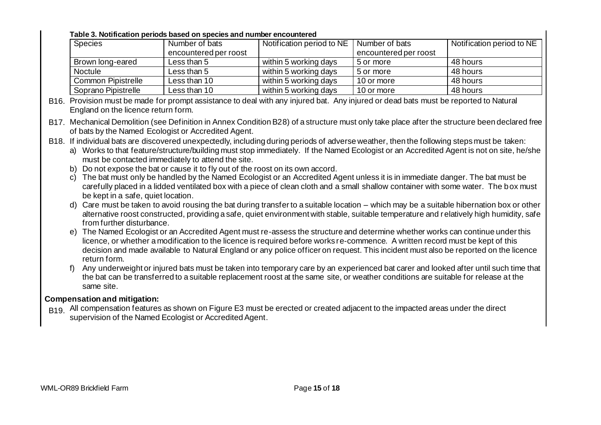## **Table 3. Notification periods based on species and number encountered**

| <b>Species</b>            | Number of bats        | Notification period to NE | Number of bats        | Notification period to NE |
|---------------------------|-----------------------|---------------------------|-----------------------|---------------------------|
|                           | encountered per roost |                           | encountered per roost |                           |
| Brown long-eared          | Less than 5           | within 5 working days     | 5 or more             | 48 hours                  |
| <b>Noctule</b>            | Less than 5           | within 5 working days     | 5 or more             | 48 hours                  |
| <b>Common Pipistrelle</b> | Less than 10          | within 5 working days     | 10 or more            | 48 hours                  |
| Soprano Pipistrelle       | Less than 10          | within 5 working days     | 10 or more            | 48 hours                  |

B16. Provision must be made for prompt assistance to deal with any injured bat. Any injured or dead bats must be reported to Natural England on the licence return form.

B17. Mechanical Demolition (see Definition in Annex Condition B28) of a structure must only take place after the structure been declared free of bats by the Named Ecologist or Accredited Agent.

B18. If individual bats are discovered unexpectedly, including during periods of adverse weather, then the following steps must be taken:

a) Works to that feature/structure/building must stop immediately. If the Named Ecologist or an Accredited Agent is not on site, he/she must be contacted immediately to attend the site.

b) Do not expose the bat or cause it to fly out of the roost on its own accord.

c) The bat must only be handled by the Named Ecologist or an Accredited Agent unless it is in immediate danger. The bat must be carefully placed in a lidded ventilated box with a piece of clean cloth and a small shallow container with some water. The box must be kept in a safe, quiet location.

- d) Care must be taken to avoid rousing the bat during transfer to a suitable location which may be a suitable hibernation box or other alternative roost constructed, providing a safe, quiet environment with stable, suitable temperature and relatively high humidity, safe from further disturbance.
- e) The Named Ecologist or an Accredited Agent must re-assess the structure and determine whether works can continue under this licence, or whether a modification to the licence is required before works re-commence. A written record must be kept of this decision and made available to Natural England or any police officer on request. This incident must also be reported on the licence return form.
- f) Any underweight or injured bats must be taken into temporary care by an experienced bat carer and looked after until such time that the bat can be transferred to a suitable replacement roost at the same site, or weather conditions are suitable for release at the same site.

# **Compensation and mitigation:**

B<sub>19</sub>. All compensation features as shown on Figure E3 must be erected or created adjacent to the impacted areas under the direct supervision of the Named Ecologist or Accredited Agent.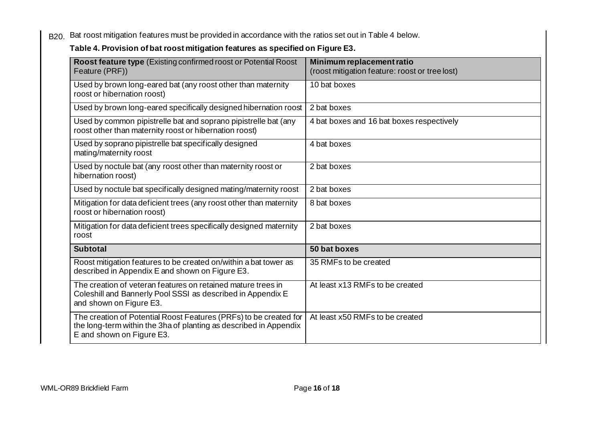B20. Bat roost mitigation features must be provided in accordance with the ratios set out in Table 4 below.

# **Table 4. Provision of bat roost mitigation features as specified on Figure E3.**

| <b>Roost feature type (Existing confirmed roost or Potential Roost)</b><br>Feature (PRF))                                                                           | Minimum replacement ratio<br>(roost mitigation feature: roost or tree lost) |
|---------------------------------------------------------------------------------------------------------------------------------------------------------------------|-----------------------------------------------------------------------------|
| Used by brown long-eared bat (any roost other than maternity<br>roost or hibernation roost)                                                                         | 10 bat boxes                                                                |
| Used by brown long-eared specifically designed hibernation roost                                                                                                    | 2 bat boxes                                                                 |
| Used by common pipistrelle bat and soprano pipistrelle bat (any<br>roost other than maternity roost or hibernation roost)                                           | 4 bat boxes and 16 bat boxes respectively                                   |
| Used by soprano pipistrelle bat specifically designed<br>mating/maternity roost                                                                                     | 4 bat boxes                                                                 |
| Used by noctule bat (any roost other than maternity roost or<br>hibernation roost)                                                                                  | 2 bat boxes                                                                 |
| Used by noctule bat specifically designed mating/maternity roost                                                                                                    | 2 bat boxes                                                                 |
| Mitigation for data deficient trees (any roost other than maternity<br>roost or hibernation roost)                                                                  | 8 bat boxes                                                                 |
| Mitigation for data deficient trees specifically designed maternity<br>roost                                                                                        | 2 bat boxes                                                                 |
| <b>Subtotal</b>                                                                                                                                                     | 50 bat boxes                                                                |
| Roost mitigation features to be created on/within a bat tower as<br>described in Appendix E and shown on Figure E3.                                                 | 35 RMFs to be created                                                       |
| The creation of veteran features on retained mature trees in<br>Coleshill and Bannerly Pool SSSI as described in Appendix E<br>and shown on Figure E3.              | At least x13 RMFs to be created                                             |
| The creation of Potential Roost Features (PRFs) to be created for<br>the long-term within the 3ha of planting as described in Appendix<br>E and shown on Figure E3. | At least x50 RMFs to be created                                             |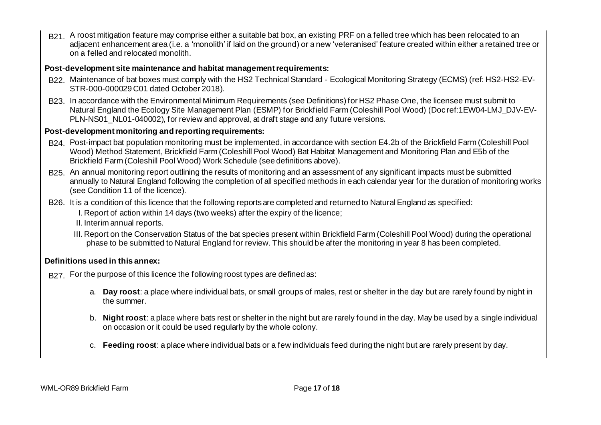B21. A roost mitigation feature may comprise either a suitable bat box, an existing PRF on a felled tree which has been relocated to an adjacent enhancement area (i.e. a 'monolith' if laid on the ground) or a new 'veteranised' feature created within either a retained tree or on a felled and relocated monolith.

# **Post-development site maintenance and habitat management requirements:**

- B22. Maintenance of bat boxes must comply with the HS2 Technical Standard Ecological Monitoring Strategy (ECMS) (ref: HS2-HS2-EV-STR-000-000029 C01 dated October 2018).
- B23. In accordance with the Environmental Minimum Requirements (see Definitions) for HS2 Phase One, the licensee must submit to Natural England the Ecology Site Management Plan (ESMP) for Brickfield Farm (Coleshill Pool Wood) (Doc ref:1EW04-LMJ\_DJV-EV-PLN-NS01\_NL01-040002), for review and approval, at draft stage and any future versions.

# **Post-development monitoring and reporting requirements:**

- B24. Post-impact bat population monitoring must be implemented, in accordance with section E4.2b of the Brickfield Farm (Coleshill Pool Wood) Method Statement, Brickfield Farm (Coleshill Pool Wood) Bat Habitat Management and Monitoring Plan and E5b of the Brickfield Farm (Coleshill Pool Wood) Work Schedule (see definitions above).
- B25. An annual monitoring report outlining the results of monitoring and an assessment of any significant impacts must be submitted annually to Natural England following the completion of all specified methods in each calendar year for the duration of monitoring works (see Condition 11 of the licence).
- B26. It is a condition of this licence that the following reports are completed and returned to Natural England as specified:
	- I. Report of action within 14 days (two weeks) after the expiry of the licence;
	- II. Interim annual reports.
	- III. Report on the Conservation Status of the bat species present within Brickfield Farm (Coleshill Pool Wood) during the operational phase to be submitted to Natural England for review. This should be after the monitoring in year 8 has been completed.

## **Definitions used in this annex:**

- B<sub>27</sub>. For the purpose of this licence the following roost types are defined as:
	- a. **Day roost**: a place where individual bats, or small groups of males, rest or shelter in the day but are rarely found by night in the summer.
	- b. **Night roost**: a place where bats rest or shelter in the night but are rarely found in the day. May be used by a single individual on occasion or it could be used regularly by the whole colony.
	- c. **Feeding roost**: a place where individual bats or a few individuals feed during the night but are rarely present by day.